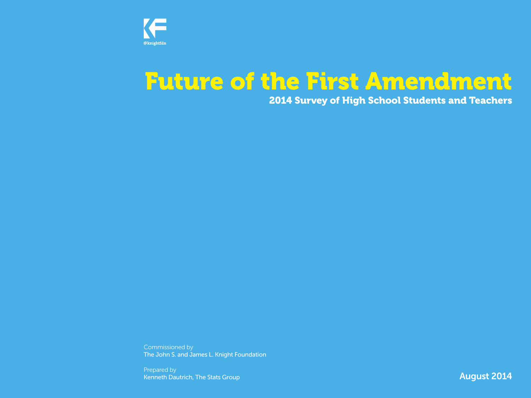

# Future of the First Amendment

## 2014 Survey of High School Students and Teachers

Commissioned by The John S. and James L. Knight Foundation

Prepared by Kenneth Dautrich, The Stats Group

**August 2014**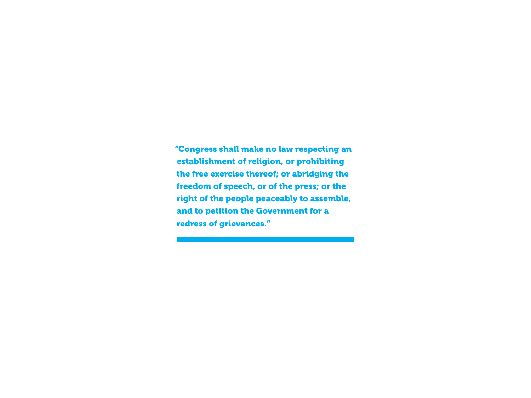"Congress shall make no law respecting an establishment of religion, or prohibiting the free exercise thereof; or abridging the freedom of speech, or of the press; or the right of the people peaceably to assemble, and to petition the Government for a redress of grievances."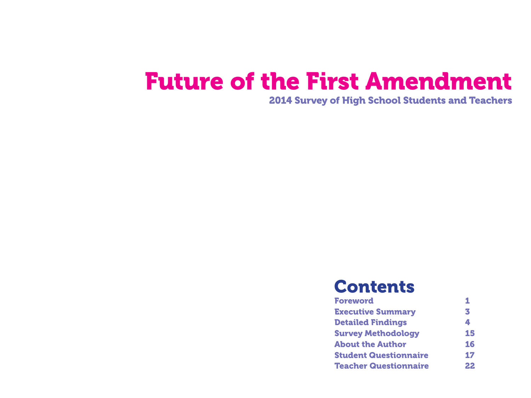# Future of the First Amendment

2014 Survey of High School Students and Teachers

## **Contents**

| <b>Foreword</b>              |    |
|------------------------------|----|
| <b>Executive Summary</b>     | 3  |
| <b>Detailed Findings</b>     | 4  |
| <b>Survey Methodology</b>    | 15 |
| <b>About the Author</b>      | 16 |
| <b>Student Questionnaire</b> | 17 |
| <b>Teacher Questionnaire</b> | 22 |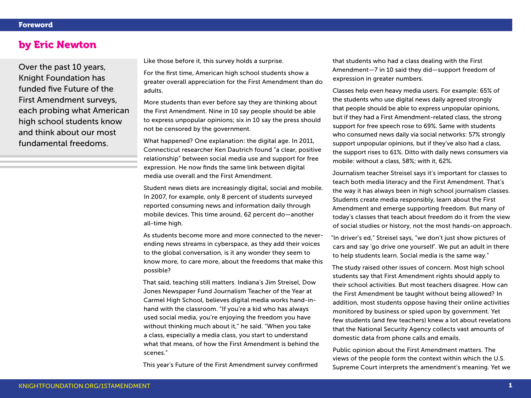### by Eric Newton

Over the past 10 years, Knight Foundation has funded five Future of the First Amendment surveys, each probing what American high school students know and think about our most fundamental freedoms.

Like those before it, this survey holds a surprise.

For the first time, American high school students show a greater overall appreciation for the First Amendment than do adults.

More students than ever before say they are thinking about the First Amendment. Nine in 10 say people should be able to express unpopular opinions; six in 10 say the press should not be censored by the government.

What happened? One explanation: the digital age. In 2011, Connecticut researcher Ken Dautrich found "a clear, positive relationship" between social media use and support for free expression. He now finds the same link between digital media use overall and the First Amendment.

Student news diets are increasingly digital, social and mobile. In 2007, for example, only 8 percent of students surveyed reported consuming news and information daily through mobile devices. This time around, 62 percent do—another all-time high.

As students become more and more connected to the neverending news streams in cyberspace, as they add their voices to the global conversation, is it any wonder they seem to know more, to care more, about the freedoms that make this possible?

That said, teaching still matters. Indiana's Jim Streisel, Dow Jones Newspaper Fund Journalism Teacher of the Year at Carmel High School, believes digital media works hand-inhand with the classroom. "If you're a kid who has always used social media, you're enjoying the freedom you have without thinking much about it," he said. "When you take a class, especially a media class, you start to understand what that means, of how the First Amendment is behind the scenes."

This year's Future of the First Amendment survey confirmed

that students who had a class dealing with the First Amendment—7 in 10 said they did—support freedom of expression in greater numbers.

Classes help even heavy media users. For example: 65% of the students who use digital news daily agreed strongly that people should be able to express unpopular opinions, but if they had a First Amendment-related class, the strong support for free speech rose to 69%. Same with students who consumed news daily via social networks: 57% strongly support unpopular opinions, but if they've also had a class, the support rises to 61%. Ditto with daily news consumers via mobile: without a class, 58%; with it, 62%.

Journalism teacher Streisel says it's important for classes to teach both media literacy and the First Amendment. That's the way it has always been in high school journalism classes. Students create media responsibly, learn about the First Amendment and emerge supporting freedom. But many of today's classes that teach about freedom do it from the view of social studies or history, not the most hands-on approach.

"In driver's ed," Streisel says, "we don't just show pictures of cars and say 'go drive one yourself'. We put an adult in there to help students learn. Social media is the same way."

The study raised other issues of concern. Most high school students say that First Amendment rights should apply to their school activities. But most teachers disagree. How can the First Amendment be taught without being allowed? In addition, most students oppose having their online activities monitored by business or spied upon by government. Yet few students (and few teachers) knew a lot about revelations that the National Security Agency collects vast amounts of domestic data from phone calls and emails.

Public opinion about the First Amendment matters. The views of the people form the context within which the U.S. Supreme Court interprets the amendment's meaning. Yet we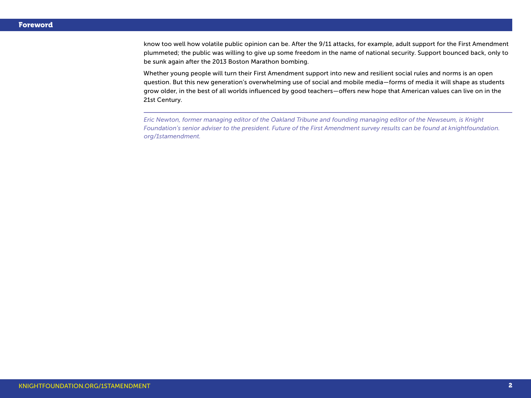know too well how volatile public opinion can be. After the 9/11 attacks, for example, adult support for the First Amendment plummeted; the public was willing to give up some freedom in the name of national security. Support bounced back, only to be sunk again after the 2013 Boston Marathon bombing.

Whether young people will turn their First Amendment support into new and resilient social rules and norms is an open question. But this new generation's overwhelming use of social and mobile media—forms of media it will shape as students grow older, in the best of all worlds influenced by good teachers—offers new hope that American values can live on in the 21st Century.

*Eric Newton, former managing editor of the Oakland Tribune and founding managing editor of the Newseum, is Knight Foundation's senior adviser to the president. Future of the First Amendment survey results can be found at knightfoundation. org/1stamendment.*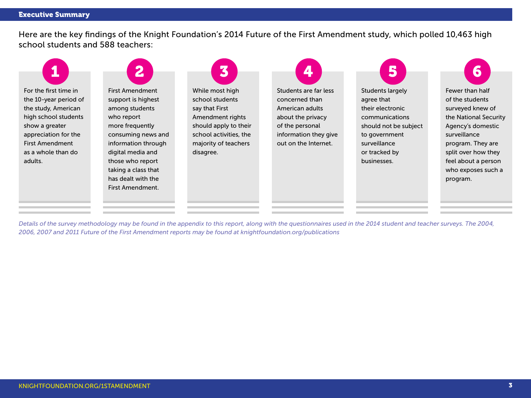Here are the key findings of the Knight Foundation's 2014 Future of the First Amendment study, which polled 10,463 high school students and 588 teachers:



*Details of the survey methodology may be found in the appendix to this report, along with the questionnaires used in the 2014 student and teacher surveys. The 2004, 2006, 2007 and 2011 Future of the First Amendment reports may be found at knightfoundation.org/publications*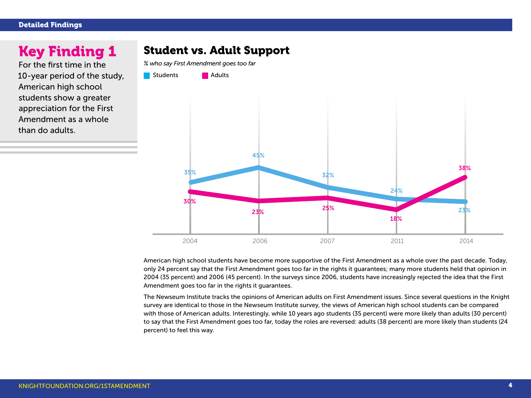#### Detailed Findings

## Key Finding 1

For the first time in the 10-year period of the study, American high school students show a greater appreciation for the First Amendment as a whole than do adults.

## Student vs. Adult Support

*% who say First Amendment goes too far*



American high school students have become more supportive of the First Amendment as a whole over the past decade. Today, only 24 percent say that the First Amendment goes too far in the rights it guarantees; many more students held that opinion in 2004 (35 percent) and 2006 (45 percent). In the surveys since 2006, students have increasingly rejected the idea that the First Amendment goes too far in the rights it guarantees.

The Newseum Institute tracks the opinions of American adults on First Amendment issues. Since several questions in the Knight survey are identical to those in the Newseum Institute survey, the views of American high school students can be compared with those of American adults. Interestingly, while 10 years ago students (35 percent) were more likely than adults (30 percent) to say that the First Amendment goes too far, today the roles are reversed: adults (38 percent) are more likely than students (24 percent) to feel this way.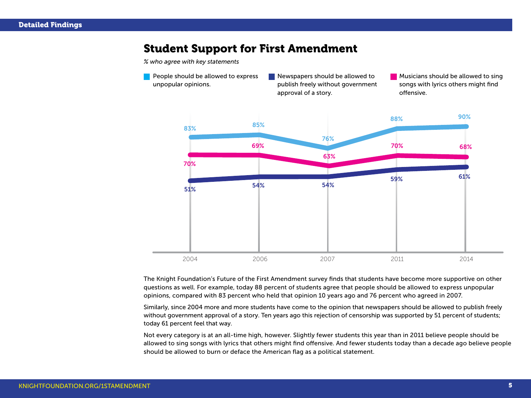## Student Support for First Amendment

*% who agree with key statements*

**People should be allowed to express** unpopular opinions. Newspapers should be allowed to publish freely without government approval of a story. **Musicians should be allowed to sing** songs with lyrics others might find offensive.



The Knight Foundation's Future of the First Amendment survey finds that students have become more supportive on other questions as well. For example, today 88 percent of students agree that people should be allowed to express unpopular opinions, compared with 83 percent who held that opinion 10 years ago and 76 percent who agreed in 2007.

Similarly, since 2004 more and more students have come to the opinion that newspapers should be allowed to publish freely without government approval of a story. Ten years ago this rejection of censorship was supported by 51 percent of students; today 61 percent feel that way.

Not every category is at an all-time high, however. Slightly fewer students this year than in 2011 believe people should be allowed to sing songs with lyrics that others might find offensive. And fewer students today than a decade ago believe people should be allowed to burn or deface the American flag as a political statement.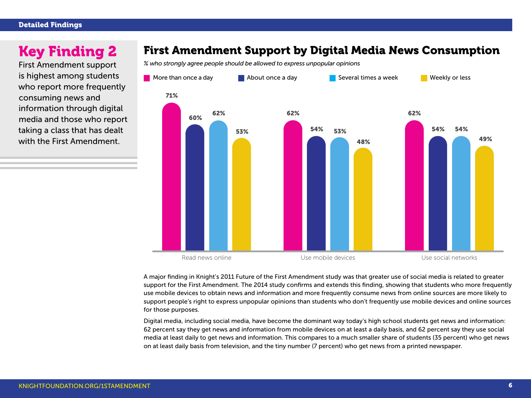First Amendment support is highest among students who report more frequently consuming news and information through digital media and those who report taking a class that has dealt with the First Amendment.

## Key Finding 2 First Amendment Support by Digital Media News Consumption

*% who strongly agree people should be allowed to express unpopular opinions*



A major finding in Knight's 2011 Future of the First Amendment study was that greater use of social media is related to greater support for the First Amendment. The 2014 study confirms and extends this finding, showing that students who more frequently use mobile devices to obtain news and information and more frequently consume news from online sources are more likely to support people's right to express unpopular opinions than students who don't frequently use mobile devices and online sources for those purposes.

Digital media, including social media, have become the dominant way today's high school students get news and information: 62 percent say they get news and information from mobile devices on at least a daily basis, and 62 percent say they use social media at least daily to get news and information. This compares to a much smaller share of students (35 percent) who get news on at least daily basis from television, and the tiny number (7 percent) who get news from a printed newspaper.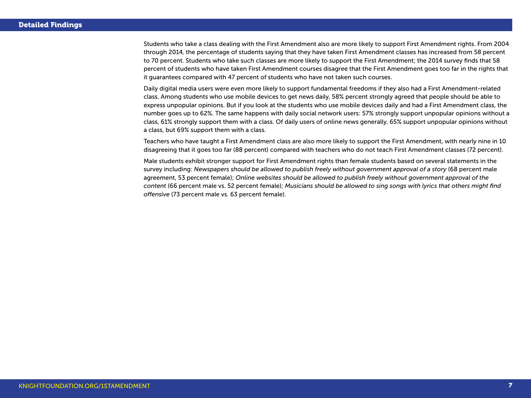Students who take a class dealing with the First Amendment also are more likely to support First Amendment rights. From 2004 through 2014, the percentage of students saying that they have taken First Amendment classes has increased from 58 percent to 70 percent. Students who take such classes are more likely to support the First Amendment; the 2014 survey finds that 58 percent of students who have taken First Amendment courses disagree that the First Amendment goes too far in the rights that it guarantees compared with 47 percent of students who have not taken such courses.

Daily digital media users were even more likely to support fundamental freedoms if they also had a First Amendment-related class. Among students who use mobile devices to get news daily, 58% percent strongly agreed that people should be able to express unpopular opinions. But if you look at the students who use mobile devices daily and had a First Amendment class, the number goes up to 62%. The same happens with daily social network users: 57% strongly support unpopular opinions without a class, 61% strongly support them with a class. Of daily users of online news generally, 65% support unpopular opinions without a class, but 69% support them with a class.

Teachers who have taught a First Amendment class are also more likely to support the First Amendment, with nearly nine in 10 disagreeing that it goes too far (88 percent) compared with teachers who do not teach First Amendment classes (72 percent).

Male students exhibit stronger support for First Amendment rights than female students based on several statements in the survey including: *Newspapers should be allowed to publish freely without government approval of a story* (68 percent male agreement, 53 percent female); *Online websites should be allowed to publish freely without government approval of the content* (66 percent male vs. 52 percent female); *Musicians should be allowed to sing songs with lyrics that others might find offensive* (73 percent male vs. 63 percent female).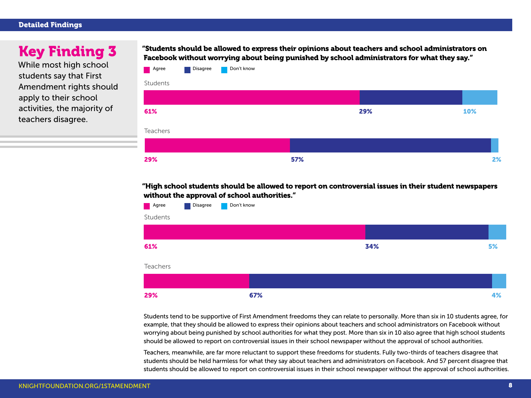#### Detailed Findings

## Key Finding 3

While most high school students say that First Amendment rights should apply to their school activities, the majority of teachers disagree.

"Students should be allowed to express their opinions about teachers and school administrators on Facebook without worrying about being punished by school administrators for what they say."



"High school students should be allowed to report on controversial issues in their student newspapers without the approval of school authorities."



Students tend to be supportive of First Amendment freedoms they can relate to personally. More than six in 10 students agree, for example, that they should be allowed to express their opinions about teachers and school administrators on Facebook without worrying about being punished by school authorities for what they post. More than six in 10 also agree that high school students should be allowed to report on controversial issues in their school newspaper without the approval of school authorities.

Teachers, meanwhile, are far more reluctant to support these freedoms for students. Fully two-thirds of teachers disagree that students should be held harmless for what they say about teachers and administrators on Facebook. And 57 percent disagree that students should be allowed to report on controversial issues in their school newspaper without the approval of school authorities.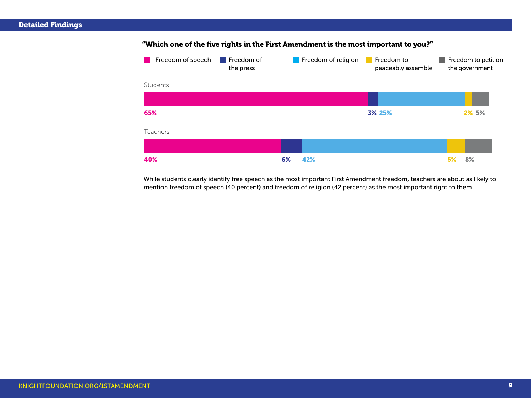

"Which one of the five rights in the First Amendment is the most important to you?"

While students clearly identify free speech as the most important First Amendment freedom, teachers are about as likely to mention freedom of speech (40 percent) and freedom of religion (42 percent) as the most important right to them.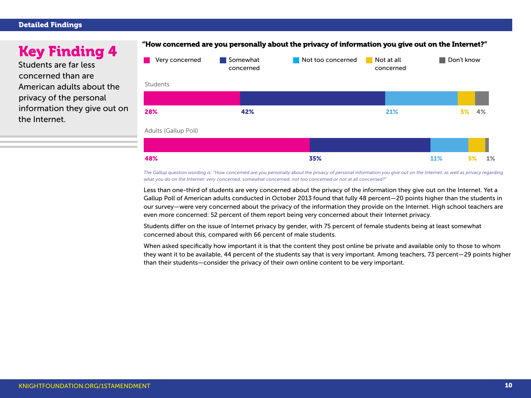#### Detailed Findings

Students are far less concerned than are American adults about the privacy of the personal information they give out on the Internet.



*The Gallup question wording is: "How concerned are you personally about the privacy of personal information you give out on the Internet, as well as privacy regarding what you do on the Internet: very concerned, somewhat concerned, not too concerned or not at all concerned?"*

Less than one-third of students are very concerned about the privacy of the information they give out on the Internet. Yet a Gallup Poll of American adults conducted in October 2013 found that fully 48 percent—20 points higher than the students in our survey—were very concerned about the privacy of the information they provide on the Internet. High school teachers are even more concerned: 52 percent of them report being very concerned about their Internet privacy.

Students differ on the issue of Internet privacy by gender, with 75 percent of female students being at least somewhat concerned about this, compared with 66 percent of male students.

When asked specifically how important it is that the content they post online be private and available only to those to whom they want it to be available, 44 percent of the students say that is very important. Among teachers, 73 percent—29 points higher than their students—consider the privacy of their own online content to be very important.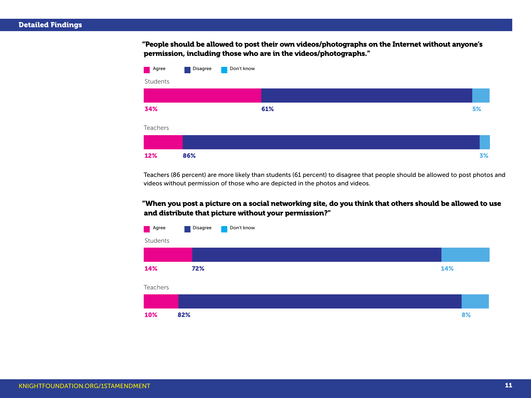"People should be allowed to post their own videos/photographs on the Internet without anyone's permission, including those who are in the videos/photographs."



Teachers (86 percent) are more likely than students (61 percent) to disagree that people should be allowed to post photos and videos without permission of those who are depicted in the photos and videos.

"When you post a picture on a social networking site, do you think that others should be allowed to use and distribute that picture without your permission?"

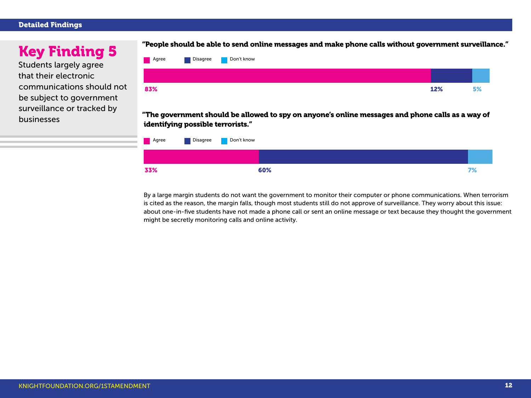#### Detailed Findings

Students largely agree that their electronic communications should not be subject to government surveillance or tracked by businesses



"The government should be allowed to spy on anyone's online messages and phone calls as a way of identifying possible terrorists."



By a large margin students do not want the government to monitor their computer or phone communications. When terrorism is cited as the reason, the margin falls, though most students still do not approve of surveillance. They worry about this issue: about one-in-five students have not made a phone call or sent an online message or text because they thought the government might be secretly monitoring calls and online activity.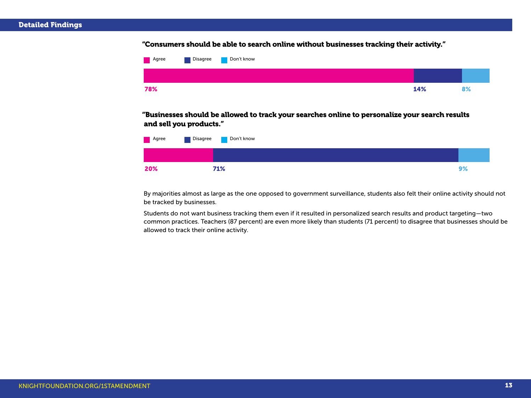#### "Consumers should be able to search online without businesses tracking their activity."



"Businesses should be allowed to track your searches online to personalize your search results and sell you products."

| Agree | Disagree | Don't know |    |
|-------|----------|------------|----|
|       |          |            |    |
| 20%   |          | 71%        | 9% |

By majorities almost as large as the one opposed to government surveillance, students also felt their online activity should not be tracked by businesses.

Students do not want business tracking them even if it resulted in personalized search results and product targeting—two common practices. Teachers (87 percent) are even more likely than students (71 percent) to disagree that businesses should be allowed to track their online activity.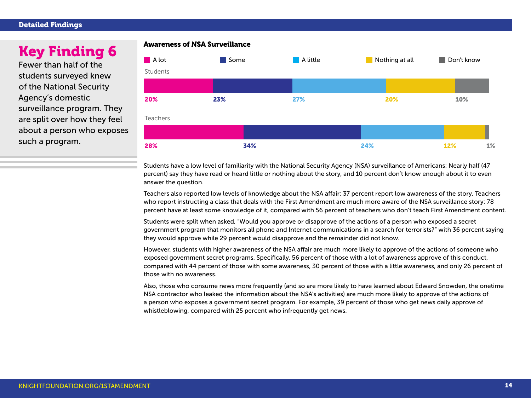#### Detailed Findings

Fewer than half of the students surveyed knew of the National Security Agency's domestic surveillance program. They are split over how they feel about a person who exposes such a program.



Students have a low level of familiarity with the National Security Agency (NSA) surveillance of Americans: Nearly half (47 percent) say they have read or heard little or nothing about the story, and 10 percent don't know enough about it to even answer the question.

Teachers also reported low levels of knowledge about the NSA affair: 37 percent report low awareness of the story. Teachers who report instructing a class that deals with the First Amendment are much more aware of the NSA surveillance story: 78 percent have at least some knowledge of it, compared with 56 percent of teachers who don't teach First Amendment content.

Students were split when asked, "Would you approve or disapprove of the actions of a person who exposed a secret government program that monitors all phone and Internet communications in a search for terrorists?" with 36 percent saying they would approve while 29 percent would disapprove and the remainder did not know.

However, students with higher awareness of the NSA affair are much more likely to approve of the actions of someone who exposed government secret programs. Specifically, 56 percent of those with a lot of awareness approve of this conduct, compared with 44 percent of those with some awareness, 30 percent of those with a little awareness, and only 26 percent of those with no awareness.

Also, those who consume news more frequently (and so are more likely to have learned about Edward Snowden, the onetime NSA contractor who leaked the information about the NSA's activities) are much more likely to approve of the actions of a person who exposes a government secret program. For example, 39 percent of those who get news daily approve of whistleblowing, compared with 25 percent who infrequently get news.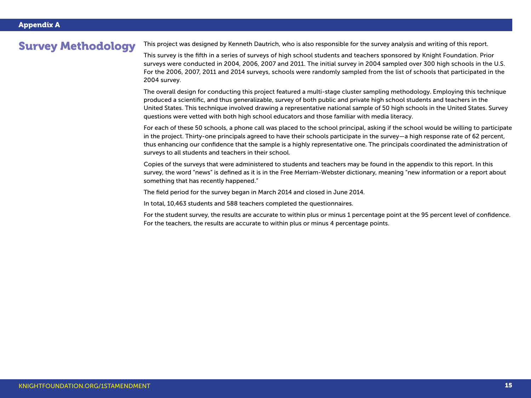Survey Methodology This project was designed by Kenneth Dautrich, who is also responsible for the survey analysis and writing of this report.

This survey is the fifth in a series of surveys of high school students and teachers sponsored by Knight Foundation. Prior surveys were conducted in 2004, 2006, 2007 and 2011. The initial survey in 2004 sampled over 300 high schools in the U.S. For the 2006, 2007, 2011 and 2014 surveys, schools were randomly sampled from the list of schools that participated in the 2004 survey.

The overall design for conducting this project featured a multi-stage cluster sampling methodology. Employing this technique produced a scientific, and thus generalizable, survey of both public and private high school students and teachers in the United States. This technique involved drawing a representative national sample of 50 high schools in the United States. Survey questions were vetted with both high school educators and those familiar with media literacy.

For each of these 50 schools, a phone call was placed to the school principal, asking if the school would be willing to participate in the project. Thirty-one principals agreed to have their schools participate in the survey—a high response rate of 62 percent, thus enhancing our confidence that the sample is a highly representative one. The principals coordinated the administration of surveys to all students and teachers in their school.

Copies of the surveys that were administered to students and teachers may be found in the appendix to this report. In this survey, the word "news" is defined as it is in the Free Merriam-Webster dictionary, meaning "new information or a report about something that has recently happened."

The field period for the survey began in March 2014 and closed in June 2014.

In total, 10,463 students and 588 teachers completed the questionnaires.

For the student survey, the results are accurate to within plus or minus 1 percentage point at the 95 percent level of confidence. For the teachers, the results are accurate to within plus or minus 4 percentage points.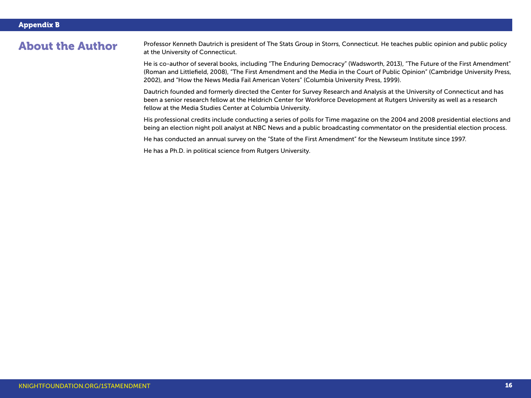About the Author Professor Kenneth Dautrich is president of The Stats Group in Storrs, Connecticut. He teaches public opinion and public policy at the University of Connecticut.

> He is co-author of several books, including "The Enduring Democracy" (Wadsworth, 2013), "The Future of the First Amendment" (Roman and Littlefield, 2008), "The First Amendment and the Media in the Court of Public Opinion" (Cambridge University Press, 2002), and "How the News Media Fail American Voters" (Columbia University Press, 1999).

Dautrich founded and formerly directed the Center for Survey Research and Analysis at the University of Connecticut and has been a senior research fellow at the Heldrich Center for Workforce Development at Rutgers University as well as a research fellow at the Media Studies Center at Columbia University.

His professional credits include conducting a series of polls for Time magazine on the 2004 and 2008 presidential elections and being an election night poll analyst at NBC News and a public broadcasting commentator on the presidential election process.

He has conducted an annual survey on the "State of the First Amendment" for the Newseum Institute since 1997.

He has a Ph.D. in political science from Rutgers University.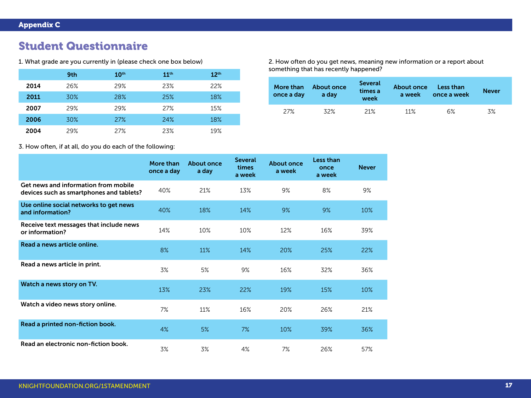## Student Questionnaire

|      | 9th | 10 <sup>th</sup> | 11 <sup>th</sup> | 12 <sup>th</sup> |
|------|-----|------------------|------------------|------------------|
| 2014 | 26% | 29%              | 23%              | 22%              |
| 2011 | 30% | 28%              | 25%              | 18%              |
| 2007 | 29% | 29%              | 27%              | 15%              |
| 2006 | 30% | 27%              | 24%              | 18%              |
| 2004 | 29% | 27%              | 23%              | 19%              |

1. What grade are you currently in (please check one box below) 2. How often do you get news, meaning new information or a report about something that has recently happened?

| once a day | More than About once<br>a day | <b>Several</b><br>times a<br>week | <b>About once</b><br>a week | Less than<br>once a week | <b>Never</b> |  |
|------------|-------------------------------|-----------------------------------|-----------------------------|--------------------------|--------------|--|
| 27%        | 32%                           | 21%                               | $11\%$                      | 6%                       | 3%           |  |

3. How often, if at all, do you do each of the following:

|                                                                                  | <b>More than</b><br>once a day | <b>About once</b><br>a day | <b>Several</b><br>times<br>a week | <b>About once</b><br>a week | Less than<br>once<br>a week | <b>Never</b> |
|----------------------------------------------------------------------------------|--------------------------------|----------------------------|-----------------------------------|-----------------------------|-----------------------------|--------------|
| Get news and information from mobile<br>devices such as smartphones and tablets? | 40%                            | 21%                        | 13%                               | 9%                          | 8%                          | 9%           |
| Use online social networks to get news<br>and information?                       | 40%                            | 18%                        | 14%                               | 9%                          | 9%                          | 10%          |
| Receive text messages that include news<br>or information?                       | 14%                            | 10%                        | 10%                               | 12%                         | 16%                         | 39%          |
| Read a news article online.                                                      | 8%                             | 11%                        | 14%                               | 20%                         | 25%                         | 22%          |
| Read a news article in print.                                                    | 3%                             | 5%                         | 9%                                | 16%                         | 32%                         | 36%          |
| Watch a news story on TV.                                                        | 13%                            | 23%                        | 22%                               | 19%                         | 15%                         | 10%          |
| Watch a video news story online.                                                 | 7%                             | 11%                        | 16%                               | 20%                         | 26%                         | 21%          |
| Read a printed non-fiction book.                                                 | 4%                             | 5%                         | 7%                                | 10%                         | 39%                         | 36%          |
| Read an electronic non-fiction book.                                             | 3%                             | 3%                         | 4%                                | 7%                          | 26%                         | 57%          |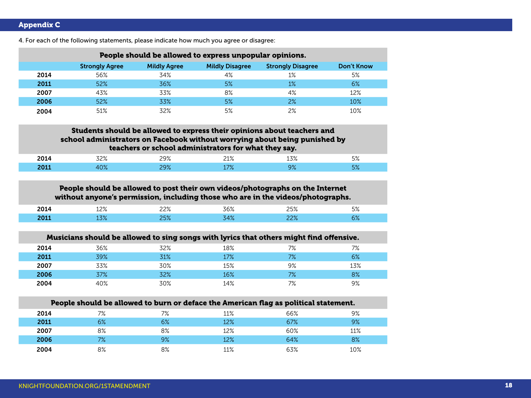| People should be allowed to express unpopular opinions. |                       |                     |                        |                          |                   |  |  |  |
|---------------------------------------------------------|-----------------------|---------------------|------------------------|--------------------------|-------------------|--|--|--|
|                                                         | <b>Strongly Agree</b> | <b>Mildly Agree</b> | <b>Mildly Disagree</b> | <b>Strongly Disagree</b> | <b>Don't Know</b> |  |  |  |
| 2014                                                    | 56%                   | 34%                 | 4%                     | $1\%$                    | 5%                |  |  |  |
| 2011                                                    | 52%                   | 36%                 | 5%                     | 1%                       | 6%                |  |  |  |
| 2007                                                    | 43%                   | 33%                 | 8%                     | 4%                       | 12%               |  |  |  |
| 2006                                                    | 52%                   | 33%                 | 5%                     | 2%                       | 10%               |  |  |  |
| 2004                                                    | 51%                   | 32%                 | 5%                     | 2%                       | 10%               |  |  |  |

4. For each of the following statements, please indicate how much you agree or disagree:

### Students should be allowed to express their opinions about teachers and school administrators on Facebook without worrying about being punished by teachers or school administrators for what they say.

| - - - | 700/ | $\Omega$<br>____ | `<br>__ | $\sim$ $\sim$ | $-\alpha$ |
|-------|------|------------------|---------|---------------|-----------|
|       | .    |                  |         |               | ره-       |

### People should be allowed to post their own videos/photographs on the Internet without anyone's permission, including those who are in the videos/photographs.

| $- - - -$ | ຳ  | $\cap$ | 700 | O.    | $\Gamma$ 0.<br>$\overline{\phantom{a}}$<br><b>-</b> |
|-----------|----|--------|-----|-------|-----------------------------------------------------|
|           | ⇁⌒ |        |     | ∕ס ∩י |                                                     |

| Musicians should be allowed to sing songs with lyrics that others might find offensive. |     |     |     |    |     |  |  |
|-----------------------------------------------------------------------------------------|-----|-----|-----|----|-----|--|--|
| 2014                                                                                    | 36% | 32% | 18% | 7% | 7%  |  |  |
| 2011                                                                                    | 39% | 31% | 17% | 7% | 6%  |  |  |
| 2007                                                                                    | 33% | 30% | 15% | 9% | 13% |  |  |
| 2006                                                                                    | 37% | 32% | 16% | 7% | 8%  |  |  |
| 2004                                                                                    | 40% | 30% | 14% | 7% | 9%  |  |  |

| People should be allowed to burn or deface the American flag as political statement. |    |    |     |     |     |  |  |
|--------------------------------------------------------------------------------------|----|----|-----|-----|-----|--|--|
| 2014                                                                                 | 7% | 7% | 11% | 66% | 9%  |  |  |
| 2011                                                                                 | 6% | 6% | 12% | 67% | 9%  |  |  |
| 2007                                                                                 | 8% | 8% | 12% | 60% | 11% |  |  |
| 2006                                                                                 | 7% | 9% | 12% | 64% | 8%  |  |  |
| 2004                                                                                 | 8% | 8% | 11% | 63% | 10% |  |  |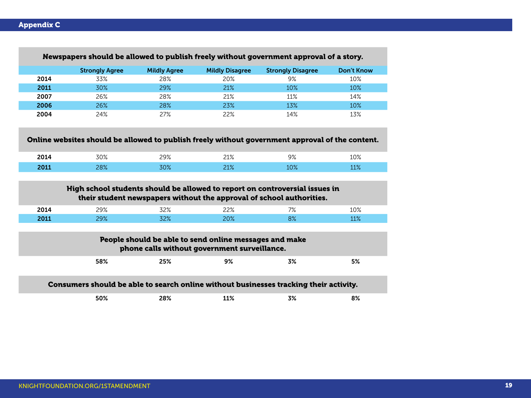|      | <b>Strongly Agree</b> | <b>Mildly Agree</b> | <b>Mildly Disagree</b>                                                                                 | <b>Strongly Disagree</b>                                                                        | <b>Don't Know</b> |
|------|-----------------------|---------------------|--------------------------------------------------------------------------------------------------------|-------------------------------------------------------------------------------------------------|-------------------|
| 2014 | 33%                   | 28%                 | 20%                                                                                                    | 9%                                                                                              | 10%               |
| 2011 | 30%                   | 29%                 | 21%                                                                                                    | 10%                                                                                             | 10%               |
| 2007 | 26%                   | 28%                 | 21%                                                                                                    | 11%                                                                                             | 14%               |
| 2006 | 26%                   | 28%                 | 23%                                                                                                    | 13%                                                                                             | 10%               |
| 2004 | 24%                   | 27%                 | 22%                                                                                                    | 14%                                                                                             | 13%               |
|      |                       |                     |                                                                                                        | Online websites should be allowed to publish freely without government approval of the content. |                   |
| 2014 | 30%                   | 29%                 | 21%                                                                                                    | 9%                                                                                              | 10%               |
|      |                       |                     |                                                                                                        |                                                                                                 |                   |
| 2011 | 28%                   | 30%                 | 21%                                                                                                    | 10%<br>High school students should be allowed to report on controversial issues in              | 11%               |
|      |                       |                     |                                                                                                        | their student newspapers without the approval of school authorities.                            |                   |
| 2014 | 29%                   | 32%                 | 22%                                                                                                    | 7%                                                                                              | 10%               |
| 2011 | 29%                   | 32%                 | 20%                                                                                                    | 8%                                                                                              | 11%               |
|      |                       |                     | People should be able to send online messages and make<br>phone calls without government surveillance. |                                                                                                 |                   |
|      | 58%                   | 25%                 | 9%                                                                                                     | 3%                                                                                              | 5%                |
|      |                       |                     |                                                                                                        | Consumers should be able to search online without businesses tracking their activity.           |                   |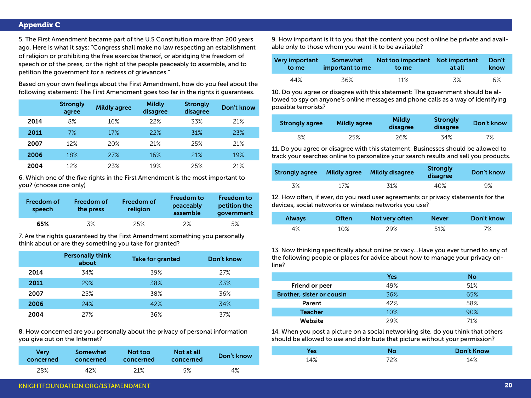#### Appendix C

5. The First Amendment became part of the U.S Constitution more than 200 years ago. Here is what it says: "Congress shall make no law respecting an establishment of religion or prohibiting the free exercise thereof, or abridging the freedom of speech or of the press, or the right of the people peaceably to assemble, and to petition the government for a redress of grievances."

Based on your own feelings about the First Amendment, how do you feel about the following statement: The First Amendment goes too far in the rights it guarantees.

|      | <b>Strongly</b><br>agree | <b>Mildly agree</b> | <b>Mildly</b><br>disagree | <b>Strongly</b><br>disagree | <b>Don't know</b> |
|------|--------------------------|---------------------|---------------------------|-----------------------------|-------------------|
| 2014 | 8%                       | 16%                 | 22%                       | 33%                         | 21%               |
| 2011 | 7%                       | 17%                 | 22%                       | 31%                         | 23%               |
| 2007 | 12%                      | 20%                 | 21%                       | 25%                         | 21%               |
| 2006 | 18%                      | 27%                 | 16%                       | 21%                         | 19%               |
| 2004 | 12%                      | 23%                 | 19%                       | 25%                         | 21%               |

6. Which one of the five rights in the First Amendment is the most important to you? (choose one only)

| Freedom of<br>speech | Freedom of<br>the press | <b>Freedom of</b><br>religion | <b>Freedom to</b><br>peaceably<br>assemble | Freedom to<br>petition the<br>government |
|----------------------|-------------------------|-------------------------------|--------------------------------------------|------------------------------------------|
| 65%                  | 3%                      | 25%                           | $2\%$                                      | 5%                                       |

7. Are the rights guaranteed by the First Amendment something you personally think about or are they something you take for granted?

|      | <b>Personally think</b><br>about | <b>Take for granted</b> | Don't know |
|------|----------------------------------|-------------------------|------------|
| 2014 | 34%                              | 39%                     | 27%        |
| 2011 | 29%                              | 38%                     | 33%        |
| 2007 | 25%                              | 38%                     | 36%        |
| 2006 | 24%                              | 42%                     | 34%        |
| 2004 | 27%                              | 36%                     | 37%        |

8. How concerned are you personally about the privacy of personal information you give out on the Internet?

| Very      | Somewhat  | Not too   | Not at all | Don't know |
|-----------|-----------|-----------|------------|------------|
| concerned | concerned | concerned | concerned  |            |
| 28%       | 42%       | 21%       | 5%         | 4%         |

9. How important is it to you that the content you post online be private and available only to those whom you want it to be available?

| Very important | Somewhat        | Not too important Not important | at all | Don't |
|----------------|-----------------|---------------------------------|--------|-------|
| to me          | important to me | to me                           |        | know  |
| 44%            | 36%             | 11%                             | 3%     | 6%    |

10. Do you agree or disagree with this statement: The government should be allowed to spy on anyone's online messages and phone calls as a way of identifying possible terrorists?

| <b>Strongly agree</b> | <b>Mildly agree</b> | <b>Mildly</b><br>disagree | Strongly<br>disagree | Don't know |
|-----------------------|---------------------|---------------------------|----------------------|------------|
| 8%                    | 25%                 | 26%                       | 34%                  | 7%         |

11. Do you agree or disagree with this statement: Businesses should be allowed to track your searches online to personalize your search results and sell you products.

| <b>Strongly agree</b> | <b>Mildly agree</b> | <b>Mildly disagree</b> | Strongly<br>disagree | Don't know |
|-----------------------|---------------------|------------------------|----------------------|------------|
| 3%                    | 17%                 | 31%                    | 40%                  | 9%         |

12. How often, if ever, do you read user agreements or privacy statements for the devices, social networks or wireless networks you use?

| <b>Always</b> | <b>Often</b> | Not very often | <b>Never</b> | Don't know |
|---------------|--------------|----------------|--------------|------------|
| 4%            | 10%          | 29%            | 51%          | 7%         |

13. Now thinking specifically about online privacy…Have you ever turned to any of the following people or places for advice about how to manage your privacy online?

|                                  | <b>Yes</b> | <b>No</b> |
|----------------------------------|------------|-----------|
| Friend or peer                   | 49%        | 51%       |
| <b>Brother, sister or cousin</b> | 36%        | 65%       |
| Parent                           | 42%        | 58%       |
| <b>Teacher</b>                   | 10%        | 90%       |
| <b>Website</b>                   | 29%        | 71%       |

14. When you post a picture on a social networking site, do you think that others should be allowed to use and distribute that picture without your permission?

| 'es |     | <b>Don't Know</b> |
|-----|-----|-------------------|
| 14% | 72% | 14%               |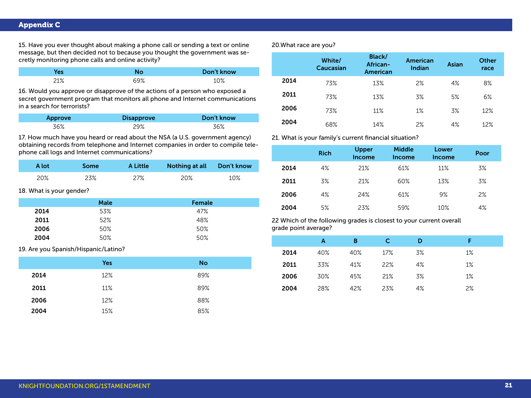### Appendix C

15. Have you ever thought about making a phone call or sending a text or online message, but then decided not to because you thought the government was secretly monitoring phone calls and online activity?

| ез  |     | Don't know |
|-----|-----|------------|
| 21% | 69% | 10%        |

16. Would you approve or disapprove of the actions of a person who exposed a secret government program that monitors all phone and Internet communications in a search for terrorists?

| Approve | <b>Disapprove</b> | Don't know |
|---------|-------------------|------------|
| 36%     | 29%               | 36%        |

17. How much have you heard or read about the NSA (a U.S. government agency) obtaining records from telephone and Internet companies in order to compile telephone call logs and Internet communications?

| <b>A</b> lot | <b>Some</b> | <b>A Little</b> | Nothing at all Don't know |     |
|--------------|-------------|-----------------|---------------------------|-----|
| 20%          | 23%         | 27%             | 20%                       | 10% |

18. What is your gender?

|      | <b>Male</b> | Female |
|------|-------------|--------|
| 2014 | 53%         | 47%    |
| 2011 | 52%         | 48%    |
| 2006 | 50%         | 50%    |
| 2004 | 50%         | 50%    |

19. Are you Spanish/Hispanic/Latino?

|      | <b>Yes</b> | <b>No</b> |
|------|------------|-----------|
| 2014 | 12%        | 89%       |
| 2011 | 11%        | 89%       |
| 2006 | 12%        | 88%       |
| 2004 | 15%        | 85%       |

20.What race are you?

|      | White/<br><b>Caucasian</b> | <b>Black/</b><br>African-<br><b>American</b> | <b>American</b><br>Indian | <b>Asian</b> | <b>Other</b><br>race |
|------|----------------------------|----------------------------------------------|---------------------------|--------------|----------------------|
| 2014 | 73%                        | 13%                                          | 2%                        | 4%           | 8%                   |
| 2011 | 73%                        | 13%                                          | 3%                        | 5%           | 6%                   |
| 2006 | 73%                        | 11%                                          | $1\%$                     | 3%           | 12%                  |
| 2004 | 68%                        | 14%                                          | 2%                        | 4%           | 12%                  |

21. What is your family's current financial situation?

|      | <b>Rich</b> | <b>Upper</b><br>Income | <b>Middle</b><br>Income | <b>Lower</b><br>Income | Poor |
|------|-------------|------------------------|-------------------------|------------------------|------|
| 2014 | 4%          | 21%                    | 61%                     | 11%                    | 3%   |
| 2011 | 3%          | 21%                    | 60%                     | 13%                    | 3%   |
| 2006 | 4%          | 24%                    | 61%                     | 9%                     | 2%   |
| 2004 | 5%          | 23%                    | 59%                     | 10%                    | 4%   |

22 Which of the following grades is closest to your current overall grade point average?

|      | Α   | B   |     | D  | Е     |
|------|-----|-----|-----|----|-------|
| 2014 | 40% | 40% | 17% | 3% | $1\%$ |
| 2011 | 33% | 41% | 22% | 4% | 1%    |
| 2006 | 30% | 45% | 21% | 3% | $1\%$ |
| 2004 | 28% | 42% | 23% | 4% | 2%    |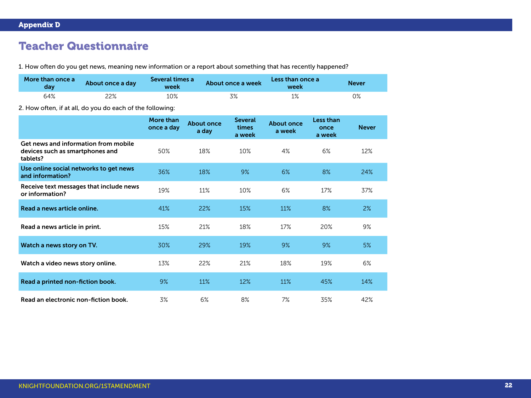## Teacher Questionnaire

1. How often do you get news, meaning new information or a report about something that has recently happened?

| More than once a<br>day | About once a day | Several times a<br>week | About once a week | Less than once a<br>week | <b>Never</b> |
|-------------------------|------------------|-------------------------|-------------------|--------------------------|--------------|
| 64%                     | 22%              | 10%                     | 3%                | 1%                       | ገ%           |

2. How often, if at all, do you do each of the following:

|                                                                                     | More than<br>once a day | <b>About once</b><br>a day | <b>Several</b><br>times<br>a week | <b>About once</b><br>a week | <b>Less than</b><br>once<br>a week | <b>Never</b> |
|-------------------------------------------------------------------------------------|-------------------------|----------------------------|-----------------------------------|-----------------------------|------------------------------------|--------------|
| Get news and information from mobile<br>devices such as smartphones and<br>tablets? | 50%                     | 18%                        | 10%                               | 4%                          | 6%                                 | 12%          |
| Use online social networks to get news<br>and information?                          | 36%                     | 18%                        | 9%                                | 6%                          | 8%                                 | 24%          |
| Receive text messages that include news<br>or information?                          | 19%                     | 11%                        | 10%                               | 6%                          | 17%                                | 37%          |
| Read a news article online.                                                         | 41%                     | 22%                        | 15%                               | 11%                         | 8%                                 | 2%           |
| Read a news article in print.                                                       | 15%                     | 21%                        | 18%                               | 17%                         | 20%                                | 9%           |
| Watch a news story on TV.                                                           | 30%                     | 29%                        | 19%                               | 9%                          | 9%                                 | 5%           |
| Watch a video news story online.                                                    | 13%                     | 22%                        | 21%                               | 18%                         | 19%                                | 6%           |
| Read a printed non-fiction book.                                                    | 9%                      | 11%                        | 12%                               | 11%                         | 45%                                | 14%          |
| Read an electronic non-fiction book.                                                | 3%                      | 6%                         | 8%                                | 7%                          | 35%                                | 42%          |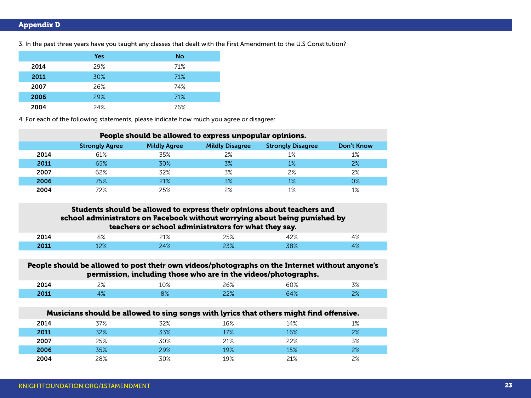### Appendix D

|      | <b>Yes</b> | <b>No</b> |
|------|------------|-----------|
| 2014 | 29%        | 71%       |
| 2011 | 30%        | 71%       |
| 2007 | 26%        | 74%       |
| 2006 | 29%        | 71%       |
| 2004 | 24%        | 76%       |

3. In the past three years have you taught any classes that dealt with the First Amendment to the U.S Constitution?

4. For each of the following statements, please indicate how much you agree or disagree:

| People should be allowed to express unpopular opinions. |                       |                     |                        |                          |            |  |  |
|---------------------------------------------------------|-----------------------|---------------------|------------------------|--------------------------|------------|--|--|
|                                                         | <b>Strongly Agree</b> | <b>Mildly Agree</b> | <b>Mildly Disagree</b> | <b>Strongly Disagree</b> | Don't Know |  |  |
| 2014                                                    | 61%                   | 35%                 | 2%                     | $1\%$                    | 1%         |  |  |
| 2011                                                    | 65%                   | 30%                 | 3%                     | 1%                       | 2%         |  |  |
| 2007                                                    | 62%                   | 32%                 | 3%                     | 2%                       | 2%         |  |  |
| 2006                                                    | 75%                   | 21%                 | 3%                     | 1%                       | 0%         |  |  |
| 2004                                                    | 72%                   | 25%                 | 2%                     | 1%                       | 1%         |  |  |

### Students should be allowed to express their opinions about teachers and school administrators on Facebook without worrying about being punished by teachers or school administrators for what they say.

| --- | $\sim$<br>ە⁄ د<br>$ -$ | 740/<br>$-1/r$ | _J/0 | $\cap$           | 1 O /<br>170  |
|-----|------------------------|----------------|------|------------------|---------------|
|     | , טו<br>42/0           | 1101<br>T / C  |      | 700 <sub>1</sub> | . n /<br>т ∕о |

#### People should be allowed to post their own videos/photographs on the Internet without anyone's permission, including those who are in the videos/photographs.

| 301 A<br>-U14 | $\sim$<br>$\sim$ /0<br>$\sim$ | $\sim$ 0.4<br>⊥∪ ⁄o | n c o /<br>. v / | $\epsilon$ pol<br>)U /o | 70/<br>ە⁄ ب     |
|---------------|-------------------------------|---------------------|------------------|-------------------------|-----------------|
| .<br>----     | 70                            | 00                  | ים ∩י<br>        | 10/<br>— 70             | $\Omega$<br>~0⁄ |

|      |     | Musicians should be allowed to sing songs with lyrics that others might find offensive. |     |     |    |
|------|-----|-----------------------------------------------------------------------------------------|-----|-----|----|
| 2014 | 37% | 32%                                                                                     | 16% | 14% | 1% |
| 2011 | 32% | 33%                                                                                     | 17% | 16% | 2% |
| 2007 | 25% | 30%                                                                                     |     | 22% | 3% |

2006 35% 29% 19% 15% 2% **2004** 28% 2004 28% 30% 29% 2004 21% 28% 21%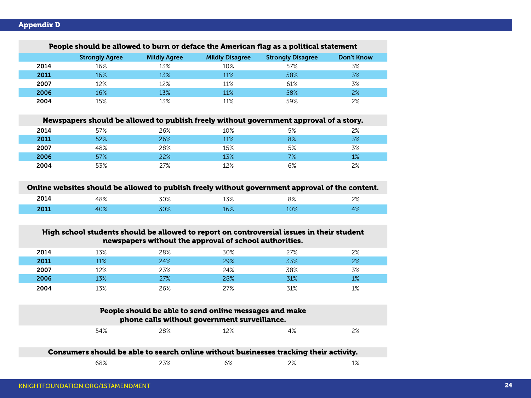| People should be allowed to burn or deface the American flag as a political statement |                       |                     |                        |                          |                   |  |
|---------------------------------------------------------------------------------------|-----------------------|---------------------|------------------------|--------------------------|-------------------|--|
|                                                                                       | <b>Strongly Agree</b> | <b>Mildly Agree</b> | <b>Mildly Disagree</b> | <b>Strongly Disagree</b> | <b>Don't Know</b> |  |
| 2014                                                                                  | 16%                   | 13%                 | 10%                    | 57%                      | 3%                |  |
| 2011                                                                                  | 16%                   | 13%                 | 11%                    | 58%                      | 3%                |  |
| 2007                                                                                  | 12%                   | 12%                 | 11%                    | 61%                      | 3%                |  |
| 2006                                                                                  | 16%                   | 13%                 | 11%                    | 58%                      | 2%                |  |
| 2004                                                                                  | 15%                   | 13%                 | 11%                    | 59%                      | 2%                |  |

#### People should be allowed to burn or deface the American flag as a political statement

|      |     | Newspapers should be allowed to publish freely without government approval of a story. |        |    |    |
|------|-----|----------------------------------------------------------------------------------------|--------|----|----|
| 2014 | 57% | 26%                                                                                    | 10%    | 5% | 2% |
| 2011 | 52% | 26%                                                                                    | $11\%$ | 8% | 3% |
| 2007 | 48% | 28%                                                                                    | 15%    | 5% | 3% |
| 2006 | 57% | 22%                                                                                    | 13%    | 7% | 1% |
| 2004 | 53% | 27%                                                                                    | 12%    | 6% | 2% |

### Online websites should be allowed to publish freely without government approval of the content.

| $\mathbf{M}$ | $\Omega$       | 700/          | 170/                      | 00 <sup>2</sup> | $\sim$     |
|--------------|----------------|---------------|---------------------------|-----------------|------------|
|              | FO /o          | JU 70         | 1J/0                      | ، د             | $\sim$ /0  |
|              |                |               |                           |                 |            |
|              | $\sim$ $\circ$ | 7001<br>, , , | $\sim$ 0.<br>$\Delta U/c$ | $\bigcap$       | 20 A<br>7٥ |

### High school students should be allowed to report on controversial issues in their student newspapers without the approval of school authorities.

| 2014 | 13% | 28% | 30% | 27% | 2% |
|------|-----|-----|-----|-----|----|
| 2011 | 11% | 24% | 29% | 33% | 2% |
| 2007 | 12% | 23% | 24% | 38% | 3% |
| 2006 | 13% | 27% | 28% | 31% | 1% |
| 2004 | 13% | 26% | 27% | 31% | 1% |

| People should be able to send online messages and make<br>phone calls without government surveillance. |     |     |    |    |  |
|--------------------------------------------------------------------------------------------------------|-----|-----|----|----|--|
| 54%                                                                                                    | 28% | 12% | 4% | 2% |  |

| Consumers should be able to search online without businesses tracking their activity. |     |    |    |     |
|---------------------------------------------------------------------------------------|-----|----|----|-----|
| 68%                                                                                   | 23% | 6% | 2% | 10/ |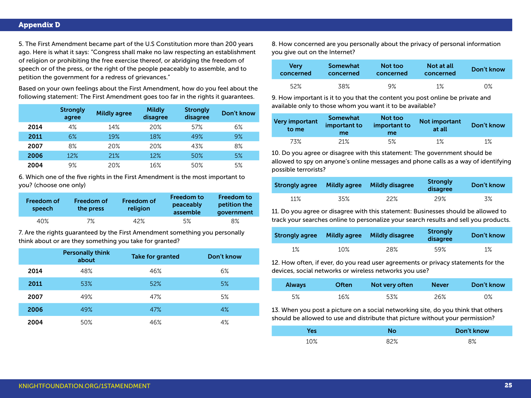5. The First Amendment became part of the U.S Constitution more than 200 years ago. Here is what it says: "Congress shall make no law respecting an establishment of religion or prohibiting the free exercise thereof, or abridging the freedom of speech or of the press, or the right of the people peaceably to assemble, and to petition the government for a redress of grievances."

Based on your own feelings about the First Amendment, how do you feel about the following statement: The First Amendment goes too far in the rights it guarantees.

|      | <b>Strongly</b><br>agree | <b>Mildly agree</b> | <b>Mildly</b><br>disagree | <b>Strongly</b><br>disagree | Don't know |
|------|--------------------------|---------------------|---------------------------|-----------------------------|------------|
| 2014 | 4%                       | 14%                 | 20%                       | 57%                         | $6\%$      |
| 2011 | 6%                       | 19%                 | 18%                       | 49%                         | 9%         |
| 2007 | 8%                       | 20%                 | 20%                       | 43%                         | 8%         |
| 2006 | 12%                      | 21%                 | 12%                       | 50%                         | 5%         |
| 2004 | 9%                       | 20%                 | 16%                       | 50%                         | 5%         |

6. Which one of the five rights in the First Amendment is the most important to you? (choose one only)

| Freedom of<br>speech | Freedom of<br>the press | <b>Freedom of</b><br>religion | <b>Freedom to</b><br>peaceably<br>assemble | <b>Freedom to</b><br>petition the<br>government |
|----------------------|-------------------------|-------------------------------|--------------------------------------------|-------------------------------------------------|
| 40%                  | 7%                      | 42%                           | 5%                                         | 8%                                              |

7. Are the rights guaranteed by the First Amendment something you personally think about or are they something you take for granted?

|      | <b>Personally think</b><br>about | <b>Take for granted</b> | Don't know |
|------|----------------------------------|-------------------------|------------|
| 2014 | 48%                              | 46%                     | 6%         |
| 2011 | 53%                              | 52%                     | 5%         |
| 2007 | 49%                              | 47%                     | 5%         |
| 2006 | 49%                              | 47%                     | 4%         |
| 2004 | 50%                              | 46%                     | 4%         |

8. How concerned are you personally about the privacy of personal information you give out on the Internet?

| <b>Very</b> | Somewhat  | Not too   | Not at all | Don't know |
|-------------|-----------|-----------|------------|------------|
| concerned   | concerned | concerned | concerned  |            |
| 52%         | 38%       | 9%        | 1%         | 0%         |

9. How important is it to you that the content you post online be private and available only to those whom you want it to be available?

| Very important<br>to me | <b>Somewhat</b><br>important to<br>me | Not too<br>important to<br>me | <b>Not important</b><br>at all | Don't know |
|-------------------------|---------------------------------------|-------------------------------|--------------------------------|------------|
| 73%                     | 21%                                   | 5%                            | 1%                             | $1\%$      |

10. Do you agree or disagree with this statement: The government should be allowed to spy on anyone's online messages and phone calls as a way of identifying possible terrorists?

| <b>Strongly agree</b> | <b>Mildly agree</b> | <b>Mildly disagree</b> | <b>Strongly</b><br>disagree | Don't know |
|-----------------------|---------------------|------------------------|-----------------------------|------------|
| 11%                   | 35%                 | 22%                    | 29%                         | 3%         |

11. Do you agree or disagree with this statement: Businesses should be allowed to track your searches online to personalize your search results and sell you products.

| <b>Strongly agree</b> | <b>Mildly agree</b> | <b>Mildly disagree</b> | <b>Strongly</b><br>disagree | Don't know |
|-----------------------|---------------------|------------------------|-----------------------------|------------|
| 1%                    | $10\%$              | 28%                    | 59%                         | $1\%$      |

12. How often, if ever, do you read user agreements or privacy statements for the devices, social networks or wireless networks you use?

| <b>Always</b> | <b>Often</b> | Not very often | <b>Never</b> | Don't know |
|---------------|--------------|----------------|--------------|------------|
| 5%            | 16%          | 53%            | 26%          | 0%         |

13. When you post a picture on a social networking site, do you think that others should be allowed to use and distribute that picture without your permission?

|     |      | Don't know |
|-----|------|------------|
| 10% | 0.20 | 8%         |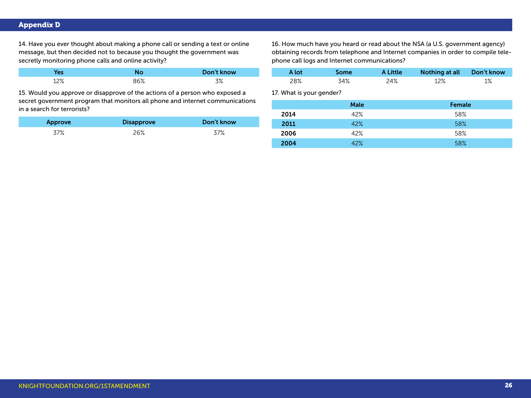### Appendix D

14. Have you ever thought about making a phone call or sending a text or online message, but then decided not to because you thought the government was secretly monitoring phone calls and online activity?

|     |     | Don't know |
|-----|-----|------------|
| 12% | 86% | マツ         |

15. Would you approve or disapprove of the actions of a person who exposed a secret government program that monitors all phone and internet communications in a search for terrorists?

| Approve | <b>Disapprove</b> | Don't know |
|---------|-------------------|------------|
| 37%     | 26%               | 37%        |

16. How much have you heard or read about the NSA (a U.S. government agency) obtaining records from telephone and Internet companies in order to compile telephone call logs and Internet communications?

| A lot | Some <sup>-</sup> | A Little | Nothing at all Don't know |    |
|-------|-------------------|----------|---------------------------|----|
| 28%   | 34%               | 24%      | 12%                       | 1% |

17. What is your gender?

|      | <b>Male</b> | Female |
|------|-------------|--------|
| 2014 | 42%         | 58%    |
| 2011 | 42%         | 58%    |
| 2006 | 42%         | 58%    |
| 2004 | 42%         | 58%    |